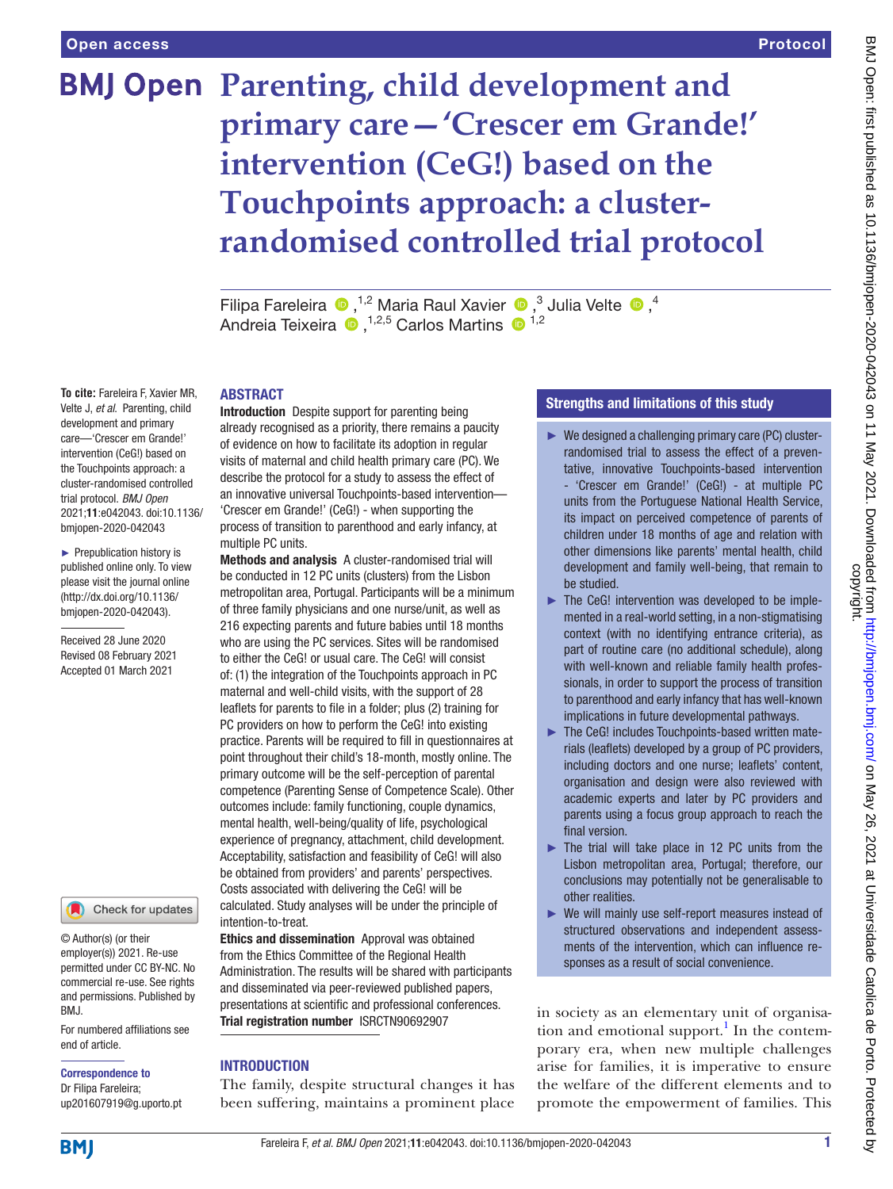# **BMJ Open Parenting, child development and primary care—'Crescer em Grande!' intervention (CeG!) based on the Touchpoints approach: a clusterrandomised controlled trial protocol**

FilipaFareleira  $\bullet$ ,<sup>1,2</sup> Maria Raul Xavier  $\bullet$ ,<sup>3</sup> Julia Velte  $\bullet$ ,<sup>4</sup> Andreia Teixeira <sup>1,2,5</sup> Carlos Martins <sup>1,2</sup>

### ABSTRACT

**To cite:** Fareleira F, Xavier MR, Velte J, *et al*. Parenting, child development and primary care—'Crescer em Grande!' intervention (CeG!) based on the Touchpoints approach: a cluster-randomised controlled trial protocol. *BMJ Open* 2021;11:e042043. doi:10.1136/ bmjopen-2020-042043

► Prepublication history is published online only. To view please visit the journal online (http://dx.doi.org/10.1136/ bmjopen-2020-042043).

Received 28 June 2020 Revised 08 February 2021 Accepted 01 March 2021



© Author(s) (or their employer(s)) 2021. Re-use permitted under CC BY-NC. No commercial re-use. See rights and permissions. Published by BMJ.

For numbered affiliations see end of article.

Correspondence to Dr Filipa Fareleira; up201607919@g.uporto.pt Introduction Despite support for parenting being already recognised as a priority, there remains a paucity of evidence on how to facilitate its adoption in regular visits of maternal and child health primary care (PC). We describe the protocol for a study to assess the effect of an innovative universal Touchpoints-based intervention— 'Crescer em Grande!' (CeG!) - when supporting the process of transition to parenthood and early infancy, at multiple PC units.

Methods and analysis A cluster-randomised trial will be conducted in 12 PC units (clusters) from the Lisbon metropolitan area, Portugal. Participants will be a minimum of three family physicians and one nurse/unit, as well as 216 expecting parents and future babies until 18 months who are using the PC services. Sites will be randomised to either the CeG! or usual care. The CeG! will consist of: (1) the integration of the Touchpoints approach in PC maternal and well-child visits, with the support of 28 leaflets for parents to file in a folder; plus (2) training for PC providers on how to perform the CeG! into existing practice. Parents will be required to fill in questionnaires at point throughout their child's 18-month, mostly online. The primary outcome will be the self-perception of parental competence (Parenting Sense of Competence Scale). Other outcomes include: family functioning, couple dynamics, mental health, well-being/quality of life, psychological experience of pregnancy, attachment, child development. Acceptability, satisfaction and feasibility of CeG! will also be obtained from providers' and parents' perspectives. Costs associated with delivering the CeG! will be calculated. Study analyses will be under the principle of intention-to-treat.

Ethics and dissemination Approval was obtained from the Ethics Committee of the Regional Health Administration. The results will be shared with participants and disseminated via peer-reviewed published papers, presentations at scientific and professional conferences. Trial registration number <ISRCTN90692907>

### **INTRODUCTION**

The family, despite structural changes it has been suffering, maintains a prominent place

### Strengths and limitations of this study

- $\blacktriangleright$  We designed a challenging primary care (PC) clusterrandomised trial to assess the effect of a preventative, innovative Touchpoints-based intervention - 'Crescer em Grande!' (CeG!) - at multiple PC units from the Portuguese National Health Service, its impact on perceived competence of parents of children under 18 months of age and relation with other dimensions like parents' mental health, child development and family well-being, that remain to be studied.
- ► The CeG! intervention was developed to be implemented in a real-world setting, in a non-stigmatising context (with no identifying entrance criteria), as part of routine care (no additional schedule), along with well-known and reliable family health professionals, in order to support the process of transition to parenthood and early infancy that has well-known implications in future developmental pathways.
- ► The CeG! includes Touchpoints-based written materials (leaflets) developed by a group of PC providers, including doctors and one nurse; leaflets' content, organisation and design were also reviewed with academic experts and later by PC providers and parents using a focus group approach to reach the final version.
- $\blacktriangleright$  The trial will take place in 12 PC units from the Lisbon metropolitan area, Portugal; therefore, our conclusions may potentially not be generalisable to other realities.
- ► We will mainly use self-report measures instead of structured observations and independent assessments of the intervention, which can influence responses as a result of social convenience.

in society as an elementary unit of organisa-tion and emotional support.<sup>[1](#page-9-0)</sup> In the contemporary era, when new multiple challenges arise for families, it is imperative to ensure the welfare of the different elements and to promote the empowerment of families. This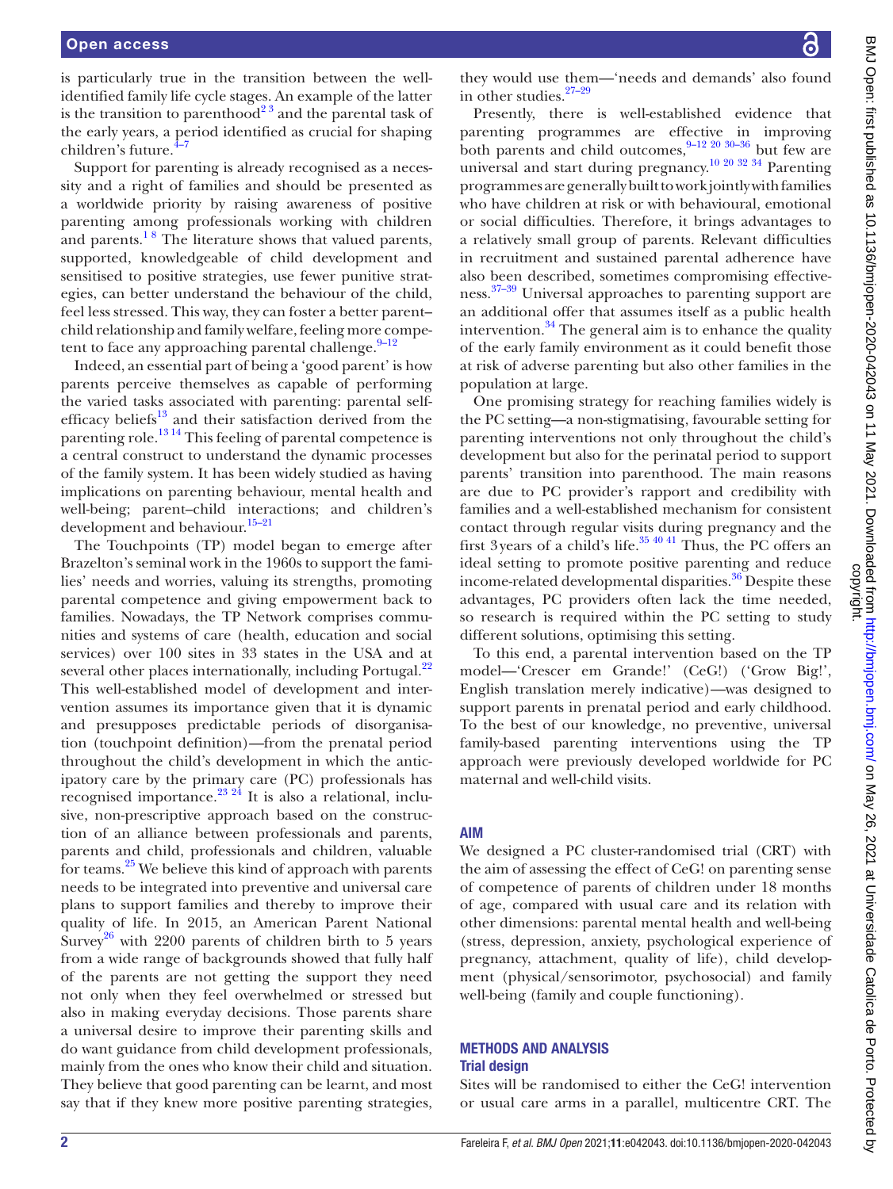is particularly true in the transition between the wellidentified family life cycle stages. An example of the latter is the transition to parenthood<sup>23</sup> and the parental task of the early years, a period identified as crucial for shaping children's future.<sup>4-7</sup>

Support for parenting is already recognised as a necessity and a right of families and should be presented as a worldwide priority by raising awareness of positive parenting among professionals working with children and parents.<sup>18</sup> The literature shows that valued parents, supported, knowledgeable of child development and sensitised to positive strategies, use fewer punitive strategies, can better understand the behaviour of the child, feel less stressed. This way, they can foster a better parent– child relationship and family welfare, feeling more competent to face any approaching parental challenge. $9-12$ 

Indeed, an essential part of being a 'good parent' is how parents perceive themselves as capable of performing the varied tasks associated with parenting: parental selfefficacy beliefs<sup>13</sup> and their satisfaction derived from the parenting role.<sup>1314</sup> This feeling of parental competence is a central construct to understand the dynamic processes of the family system. It has been widely studied as having implications on parenting behaviour, mental health and well-being; parent–child interactions; and children's development and behaviour.<sup>15-21</sup>

The Touchpoints (TP) model began to emerge after Brazelton's seminal work in the 1960s to support the families' needs and worries, valuing its strengths, promoting parental competence and giving empowerment back to families. Nowadays, the TP Network comprises communities and systems of care (health, education and social services) over 100 sites in 33 states in the USA and at several other places internationally, including Portugal.<sup>22</sup> This well-established model of development and intervention assumes its importance given that it is dynamic and presupposes predictable periods of disorganisation (touchpoint definition)—from the prenatal period throughout the child's development in which the anticipatory care by the primary care (PC) professionals has recognised importance.<sup>[23 24](#page-10-1)</sup> It is also a relational, inclusive, non-prescriptive approach based on the construction of an alliance between professionals and parents, parents and child, professionals and children, valuable for teams.[25](#page-10-2) We believe this kind of approach with parents needs to be integrated into preventive and universal care plans to support families and thereby to improve their quality of life. In 2015, an American Parent National Survey<sup>[26](#page-10-3)</sup> with 2200 parents of children birth to 5 years from a wide range of backgrounds showed that fully half of the parents are not getting the support they need not only when they feel overwhelmed or stressed but also in making everyday decisions. Those parents share a universal desire to improve their parenting skills and do want guidance from child development professionals, mainly from the ones who know their child and situation. They believe that good parenting can be learnt, and most say that if they knew more positive parenting strategies,

they would use them—'needs and demands' also found in other studies[.27–29](#page-10-4)

Presently, there is well-established evidence that parenting programmes are effective in improving both parents and child outcomes, $9-12,20,30-36$  but few are universal and start during pregnancy.<sup>10 20 32 34</sup> Parenting programmes are generally built to work jointly with families who have children at risk or with behavioural, emotional or social difficulties. Therefore, it brings advantages to a relatively small group of parents. Relevant difficulties in recruitment and sustained parental adherence have also been described, sometimes compromising effectiveness.<sup>37-39</sup> Universal approaches to parenting support are an additional offer that assumes itself as a public health intervention. $34$  The general aim is to enhance the quality of the early family environment as it could benefit those at risk of adverse parenting but also other families in the population at large.

One promising strategy for reaching families widely is the PC setting—a non-stigmatising, favourable setting for parenting interventions not only throughout the child's development but also for the perinatal period to support parents' transition into parenthood. The main reasons are due to PC provider's rapport and credibility with families and a well-established mechanism for consistent contact through regular visits during pregnancy and the first 3years of a child's life. $35\frac{40\frac{41}{1}}{20}$  Thus, the PC offers an ideal setting to promote positive parenting and reduce income-related developmental disparities.<sup>36</sup> Despite these advantages, PC providers often lack the time needed, so research is required within the PC setting to study different solutions, optimising this setting.

To this end, a parental intervention based on the TP model—'Crescer em Grande!' (CeG!) ('Grow Big!', English translation merely indicative)—was designed to support parents in prenatal period and early childhood. To the best of our knowledge, no preventive, universal family-based parenting interventions using the TP approach were previously developed worldwide for PC maternal and well-child visits.

### AIM

We designed a PC cluster-randomised trial (CRT) with the aim of assessing the effect of CeG! on parenting sense of competence of parents of children under 18 months of age, compared with usual care and its relation with other dimensions: parental mental health and well-being (stress, depression, anxiety, psychological experience of pregnancy, attachment, quality of life), child development (physical/sensorimotor, psychosocial) and family well-being (family and couple functioning).

#### METHODS AND ANALYSIS Trial design

Sites will be randomised to either the CeG! intervention or usual care arms in a parallel, multicentre CRT. The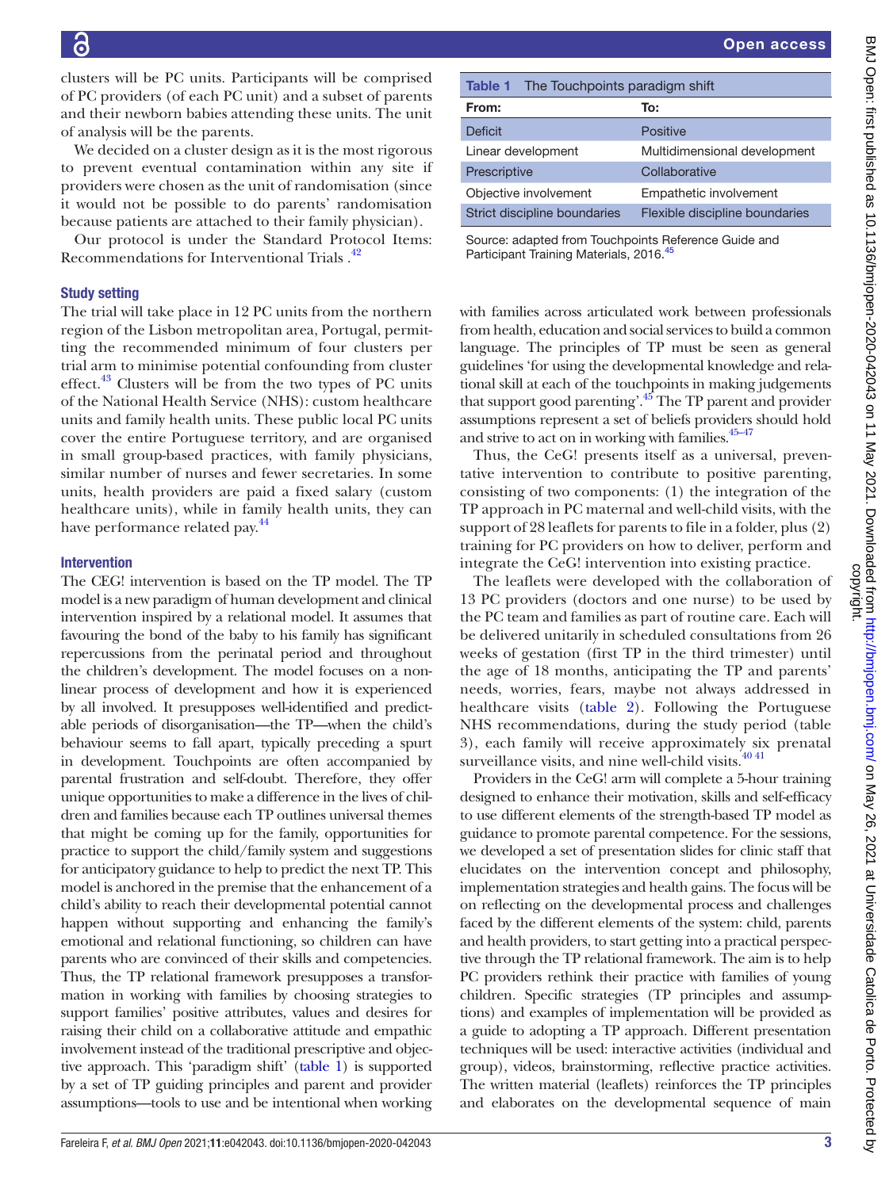clusters will be PC units. Participants will be comprised of PC providers (of each PC unit) and a subset of parents and their newborn babies attending these units. The unit of analysis will be the parents.

We decided on a cluster design as it is the most rigorous to prevent eventual contamination within any site if providers were chosen as the unit of randomisation (since it would not be possible to do parents' randomisation because patients are attached to their family physician).

Our protocol is under the Standard Protocol Items: Recommendations for Interventional Trials.<sup>42</sup>

### Study setting

The trial will take place in 12 PC units from the northern region of the Lisbon metropolitan area, Portugal, permitting the recommended minimum of four clusters per trial arm to minimise potential confounding from cluster effect.<sup>43</sup> Clusters will be from the two types of PC units of the National Health Service (NHS): custom healthcare units and family health units. These public local PC units cover the entire Portuguese territory, and are organised in small group-based practices, with family physicians, similar number of nurses and fewer secretaries. In some units, health providers are paid a fixed salary (custom healthcare units), while in family health units, they can have performance related pay.<sup>[44](#page-10-11)</sup>

### Intervention

The CEG! intervention is based on the TP model. The TP model is a new paradigm of human development and clinical intervention inspired by a relational model. It assumes that favouring the bond of the baby to his family has significant repercussions from the perinatal period and throughout the children's development. The model focuses on a nonlinear process of development and how it is experienced by all involved. It presupposes well-identified and predictable periods of disorganisation—the TP—when the child's behaviour seems to fall apart, typically preceding a spurt in development. Touchpoints are often accompanied by parental frustration and self-doubt. Therefore, they offer unique opportunities to make a difference in the lives of children and families because each TP outlines universal themes that might be coming up for the family, opportunities for practice to support the child/family system and suggestions for anticipatory guidance to help to predict the next TP. This model is anchored in the premise that the enhancement of a child's ability to reach their developmental potential cannot happen without supporting and enhancing the family's emotional and relational functioning, so children can have parents who are convinced of their skills and competencies. Thus, the TP relational framework presupposes a transformation in working with families by choosing strategies to support families' positive attributes, values and desires for raising their child on a collaborative attitude and empathic involvement instead of the traditional prescriptive and objective approach. This 'paradigm shift' ([table](#page-2-0) 1) is supported by a set of TP guiding principles and parent and provider assumptions—tools to use and be intentional when working

<span id="page-2-0"></span>

| The Touchpoints paradigm shift<br>Table 1 |                                |
|-------------------------------------------|--------------------------------|
| From:                                     | To:                            |
| <b>Deficit</b>                            | <b>Positive</b>                |
| Linear development                        | Multidimensional development   |
| Prescriptive                              | Collaborative                  |
| Objective involvement                     | Empathetic involvement         |
| Strict discipline boundaries              | Flexible discipline boundaries |

Source: adapted from Touchpoints Reference Guide and Participant Training Materials, 2016.<sup>[45](#page-10-12)</sup>

with families across articulated work between professionals from health, education and social services to build a common language. The principles of TP must be seen as general guidelines 'for using the developmental knowledge and relational skill at each of the touchpoints in making judgements that support good parenting'.<sup>45</sup> The TP parent and provider assumptions represent a set of beliefs providers should hold and strive to act on in working with families.<sup>45-47</sup>

Thus, the CeG! presents itself as a universal, preventative intervention to contribute to positive parenting, consisting of two components: (1) the integration of the TP approach in PC maternal and well-child visits, with the support of 28 leaflets for parents to file in a folder, plus (2) training for PC providers on how to deliver, perform and integrate the CeG! intervention into existing practice.

The leaflets were developed with the collaboration of 13 PC providers (doctors and one nurse) to be used by the PC team and families as part of routine care. Each will be delivered unitarily in scheduled consultations from 26 weeks of gestation (first TP in the third trimester) until the age of 18 months, anticipating the TP and parents' needs, worries, fears, maybe not always addressed in healthcare visits [\(table](#page-3-0) 2). Following the Portuguese NHS recommendations, during the study period (table 3), each family will receive approximately six prenatal surveillance visits, and nine well-child visits.<sup>[40 41](#page-10-13)</sup>

Providers in the CeG! arm will complete a 5-hour training designed to enhance their motivation, skills and self-efficacy to use different elements of the strength-based TP model as guidance to promote parental competence. For the sessions, we developed a set of presentation slides for clinic staff that elucidates on the intervention concept and philosophy, implementation strategies and health gains. The focus will be on reflecting on the developmental process and challenges faced by the different elements of the system: child, parents and health providers, to start getting into a practical perspective through the TP relational framework. The aim is to help PC providers rethink their practice with families of young children. Specific strategies (TP principles and assumptions) and examples of implementation will be provided as a guide to adopting a TP approach. Different presentation techniques will be used: interactive activities (individual and group), videos, brainstorming, reflective practice activities. The written material (leaflets) reinforces the TP principles and elaborates on the developmental sequence of main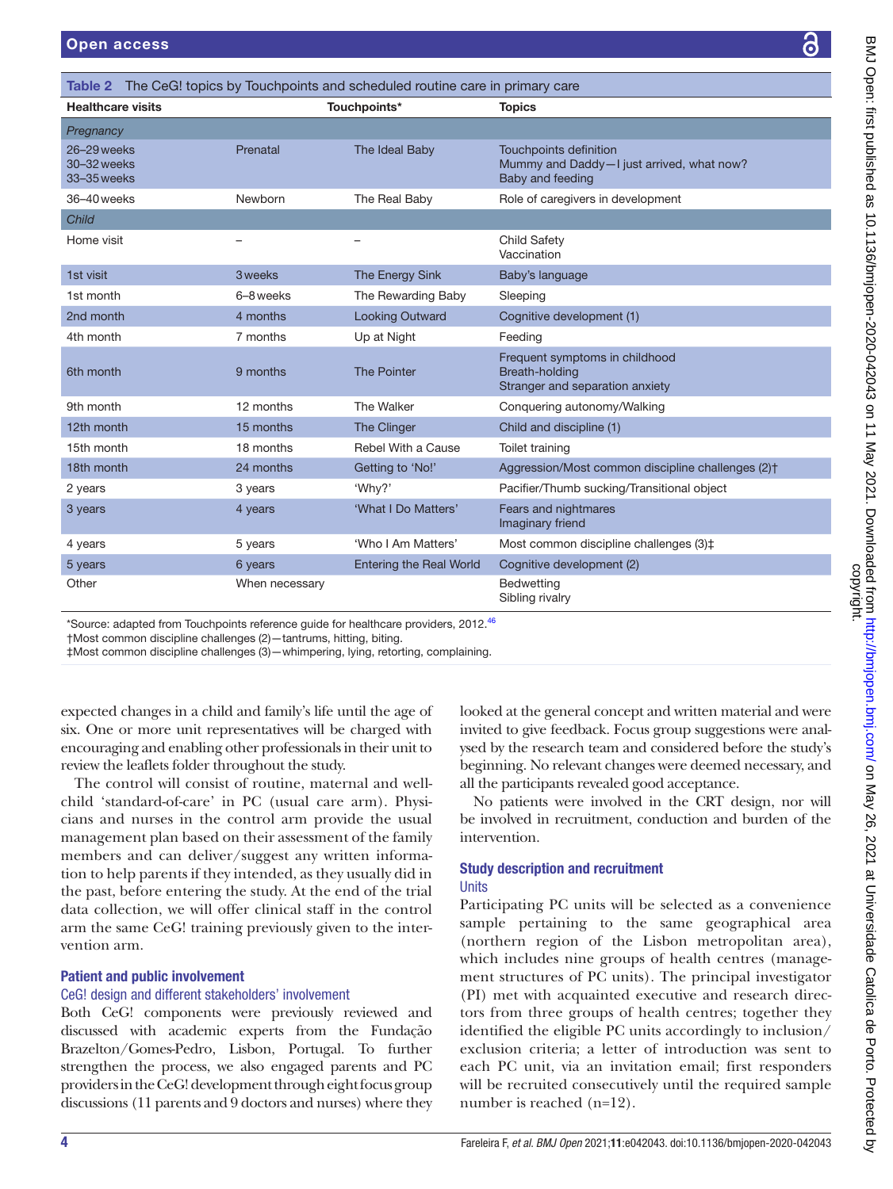<span id="page-3-0"></span>

| Table 2                                   |                | The CeG! topics by Touchpoints and scheduled routine care in primary care |                                                                                         |
|-------------------------------------------|----------------|---------------------------------------------------------------------------|-----------------------------------------------------------------------------------------|
| <b>Healthcare visits</b>                  |                | Touchpoints*                                                              | <b>Topics</b>                                                                           |
| Pregnancy                                 |                |                                                                           |                                                                                         |
| 26-29 weeks<br>30-32 weeks<br>33-35 weeks | Prenatal       | The Ideal Baby                                                            | Touchpoints definition<br>Mummy and Daddy-I just arrived, what now?<br>Baby and feeding |
| 36-40 weeks                               | Newborn        | The Real Baby                                                             | Role of caregivers in development                                                       |
| <b>Child</b>                              |                |                                                                           |                                                                                         |
| Home visit                                |                |                                                                           | <b>Child Safety</b><br>Vaccination                                                      |
| 1st visit                                 | 3 weeks        | The Energy Sink                                                           | Baby's language                                                                         |
| 1st month                                 | 6-8 weeks      | The Rewarding Baby                                                        | Sleeping                                                                                |
| 2nd month                                 | 4 months       | <b>Looking Outward</b>                                                    | Cognitive development (1)                                                               |
| 4th month                                 | 7 months       | Up at Night                                                               | Feeding                                                                                 |
| 6th month                                 | 9 months       | <b>The Pointer</b>                                                        | Frequent symptoms in childhood<br>Breath-holding<br>Stranger and separation anxiety     |
| 9th month                                 | 12 months      | The Walker                                                                | Conquering autonomy/Walking                                                             |
| 12th month                                | 15 months      | The Clinger                                                               | Child and discipline (1)                                                                |
| 15th month                                | 18 months      | Rebel With a Cause                                                        | Toilet training                                                                         |
| 18th month                                | 24 months      | Getting to 'No!'                                                          | Aggression/Most common discipline challenges (2) <sup>+</sup>                           |
| 2 years                                   | 3 years        | 'Why?'                                                                    | Pacifier/Thumb sucking/Transitional object                                              |
| 3 years                                   | 4 years        | 'What I Do Matters'                                                       | Fears and nightmares<br>Imaginary friend                                                |
| 4 years                                   | 5 years        | 'Who I Am Matters'                                                        | Most common discipline challenges (3) $\ddagger$                                        |
| 5 years                                   | 6 years        | <b>Entering the Real World</b>                                            | Cognitive development (2)                                                               |
| Other                                     | When necessary |                                                                           | <b>Bedwetting</b><br>Sibling rivalry                                                    |

 $^*$ Source: adapted from Touchpoints reference guide for healthcare providers, 2012. $^{46}$ 

†Most common discipline challenges (2)—tantrums, hitting, biting.

‡Most common discipline challenges (3)—whimpering, lying, retorting, complaining.

expected changes in a child and family's life until the age of six. One or more unit representatives will be charged with encouraging and enabling other professionals in their unit to review the leaflets folder throughout the study.

The control will consist of routine, maternal and wellchild 'standard-of-care' in PC (usual care arm). Physicians and nurses in the control arm provide the usual management plan based on their assessment of the family members and can deliver/suggest any written information to help parents if they intended, as they usually did in the past, before entering the study. At the end of the trial data collection, we will offer clinical staff in the control arm the same CeG! training previously given to the intervention arm.

### Patient and public involvement

### CeG! design and different stakeholders' involvement

Both CeG! components were previously reviewed and discussed with academic experts from the Fundação Brazelton/Gomes-Pedro, Lisbon, Portugal. To further strengthen the process, we also engaged parents and PC providers in the CeG! development through eight focus group discussions (11 parents and 9 doctors and nurses) where they

looked at the general concept and written material and were invited to give feedback. Focus group suggestions were analysed by the research team and considered before the study's beginning. No relevant changes were deemed necessary, and all the participants revealed good acceptance.

No patients were involved in the CRT design, nor will be involved in recruitment, conduction and burden of the intervention.

#### Study description and recruitment **Units**

Participating PC units will be selected as a convenience sample pertaining to the same geographical area (northern region of the Lisbon metropolitan area), which includes nine groups of health centres (management structures of PC units). The principal investigator (PI) met with acquainted executive and research directors from three groups of health centres; together they identified the eligible PC units accordingly to inclusion/ exclusion criteria; a letter of introduction was sent to each PC unit, via an invitation email; first responders will be recruited consecutively until the required sample number is reached (n=12).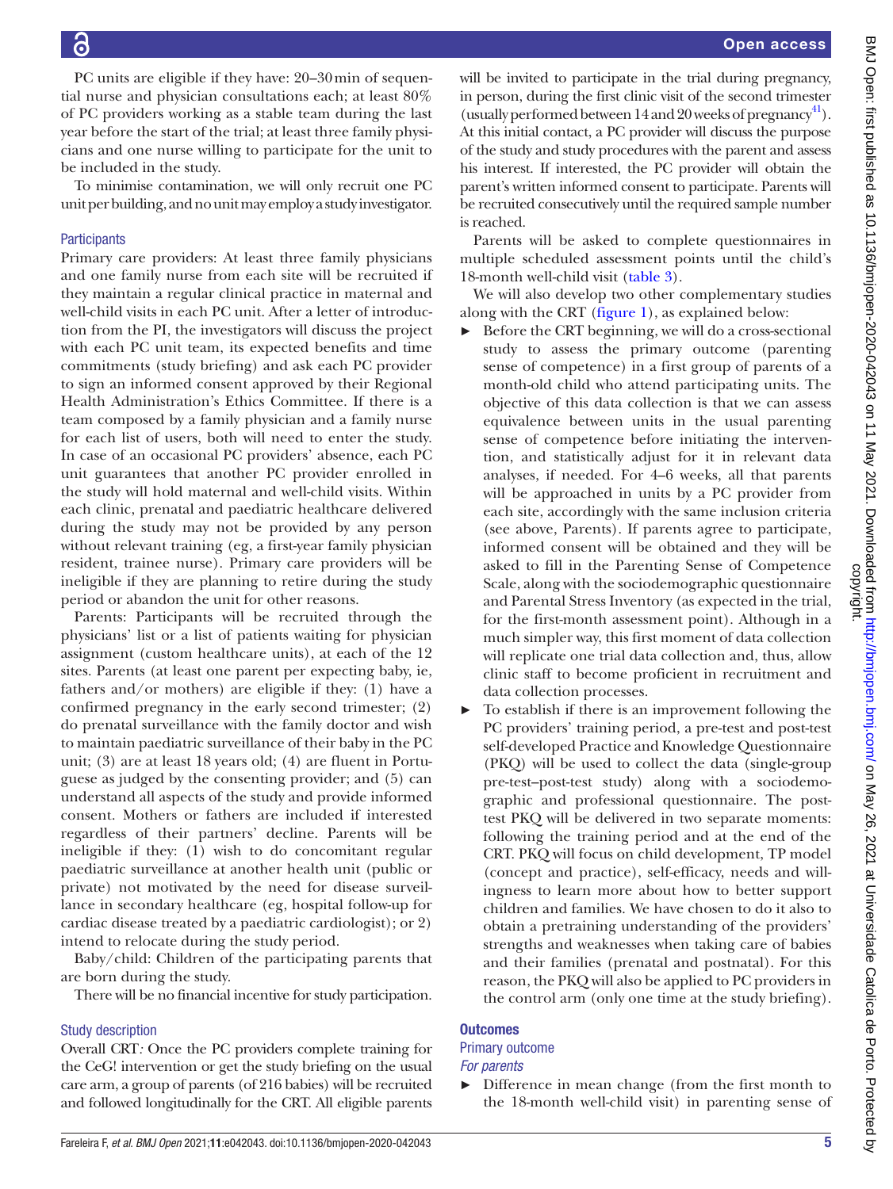PC units are eligible if they have: 20–30min of sequential nurse and physician consultations each; at least 80% of PC providers working as a stable team during the last year before the start of the trial; at least three family physicians and one nurse willing to participate for the unit to be included in the study.

To minimise contamination, we will only recruit one PC unit per building, and no unit may employ a study investigator.

### **Participants**

Primary care providers: At least three family physicians and one family nurse from each site will be recruited if they maintain a regular clinical practice in maternal and well-child visits in each PC unit. After a letter of introduction from the PI, the investigators will discuss the project with each PC unit team, its expected benefits and time commitments (study briefing) and ask each PC provider to sign an informed consent approved by their Regional Health Administration's Ethics Committee. If there is a team composed by a family physician and a family nurse for each list of users, both will need to enter the study. In case of an occasional PC providers' absence, each PC unit guarantees that another PC provider enrolled in the study will hold maternal and well-child visits. Within each clinic, prenatal and paediatric healthcare delivered during the study may not be provided by any person without relevant training (eg, a first-year family physician resident, trainee nurse). Primary care providers will be ineligible if they are planning to retire during the study period or abandon the unit for other reasons.

Parents: Participants will be recruited through the physicians' list or a list of patients waiting for physician assignment (custom healthcare units), at each of the 12 sites. Parents (at least one parent per expecting baby, ie, fathers and/or mothers) are eligible if they: (1) have a confirmed pregnancy in the early second trimester; (2) do prenatal surveillance with the family doctor and wish to maintain paediatric surveillance of their baby in the PC unit; (3) are at least 18 years old; (4) are fluent in Portuguese as judged by the consenting provider; and (5) can understand all aspects of the study and provide informed consent. Mothers or fathers are included if interested regardless of their partners' decline. Parents will be ineligible if they: (1) wish to do concomitant regular paediatric surveillance at another health unit (public or private) not motivated by the need for disease surveillance in secondary healthcare (eg, hospital follow-up for cardiac disease treated by a paediatric cardiologist); or 2) intend to relocate during the study period.

Baby/child: Children of the participating parents that are born during the study.

There will be no financial incentive for study participation.

### Study description

Overall CRT*:* Once the PC providers complete training for the CeG! intervention or get the study briefing on the usual care arm, a group of parents (of 216 babies) will be recruited and followed longitudinally for the CRT. All eligible parents

will be invited to participate in the trial during pregnancy, in person, during the first clinic visit of the second trimester (usually performed between  $14$  and  $20$  weeks of pregnancy<sup>[41](#page-10-15)</sup>). At this initial contact, a PC provider will discuss the purpose of the study and study procedures with the parent and assess his interest. If interested, the PC provider will obtain the parent's written informed consent to participate. Parents will be recruited consecutively until the required sample number is reached.

Parents will be asked to complete questionnaires in multiple scheduled assessment points until the child's 18-month well-child visit [\(table](#page-5-0) 3).

We will also develop two other complementary studies along with the CRT [\(figure](#page-6-0) 1), as explained below:

- Before the CRT beginning, we will do a cross-sectional study to assess the primary outcome (parenting sense of competence) in a first group of parents of a month-old child who attend participating units. The objective of this data collection is that we can assess equivalence between units in the usual parenting sense of competence before initiating the intervention, and statistically adjust for it in relevant data analyses, if needed. For 4–6 weeks, all that parents will be approached in units by a PC provider from each site, accordingly with the same inclusion criteria (see above, Parents). If parents agree to participate, informed consent will be obtained and they will be asked to fill in the Parenting Sense of Competence Scale, along with the sociodemographic questionnaire and Parental Stress Inventory (as expected in the trial, for the first-month assessment point). Although in a much simpler way, this first moment of data collection will replicate one trial data collection and, thus, allow clinic staff to become proficient in recruitment and data collection processes.
- ► To establish if there is an improvement following the PC providers' training period, a pre-test and post-test self-developed Practice and Knowledge Questionnaire (PKQ) will be used to collect the data (single-group pre-test–post-test study) along with a sociodemographic and professional questionnaire. The posttest PKQ will be delivered in two separate moments: following the training period and at the end of the CRT. PKQ will focus on child development, TP model (concept and practice), self-efficacy, needs and willingness to learn more about how to better support children and families. We have chosen to do it also to obtain a pretraining understanding of the providers' strengths and weaknesses when taking care of babies and their families (prenatal and postnatal). For this reason, the PKQ will also be applied to PC providers in the control arm (only one time at the study briefing).

### **Outcomes**

### Primary outcome

- *For parents*
- ► Difference in mean change (from the first month to the 18-month well-child visit) in parenting sense of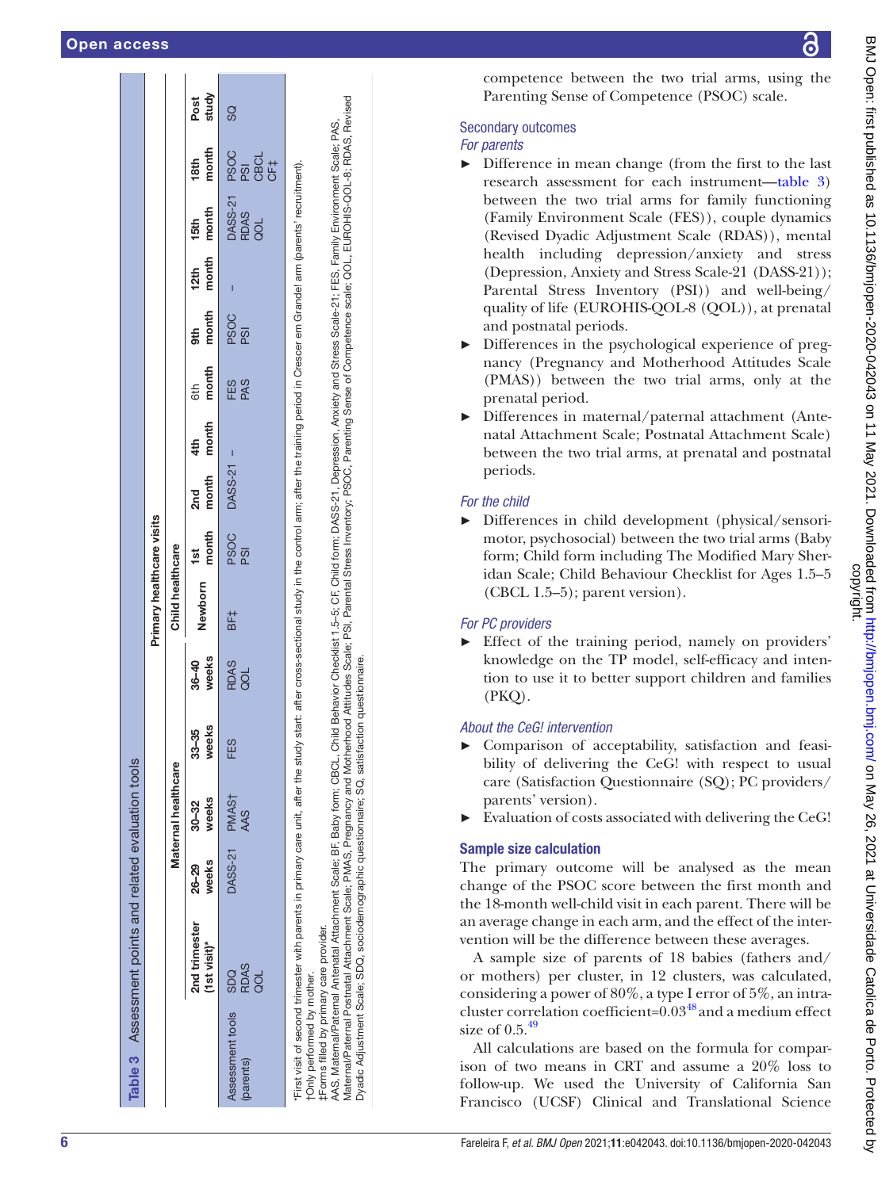|                               |                                                                                    |                |                     |                    |                  | Primary healthcare visits                                                                                                          |              |              |              |                     |              |               |                                                             |               |               |
|-------------------------------|------------------------------------------------------------------------------------|----------------|---------------------|--------------------|------------------|------------------------------------------------------------------------------------------------------------------------------------|--------------|--------------|--------------|---------------------|--------------|---------------|-------------------------------------------------------------|---------------|---------------|
|                               |                                                                                    |                | Maternal healthcare |                    |                  | Child healthcare                                                                                                                   |              |              |              |                     |              |               |                                                             |               |               |
|                               | 2nd trimester<br>(1st visit)*                                                      | weeks<br>26–29 | weeks<br>30–32      | weeks<br>$33 - 35$ | $36-40$<br>weeks | Newborn                                                                                                                            | 1st<br>month | 2nd<br>month | 4th<br>month | 6th<br><b>month</b> | 9th<br>month | 12th<br>month | 15th<br>month                                               | 18th<br>month | Post<br>study |
| Assessment tools<br>(parents) | SDQ<br>RDAS<br>aoL                                                                 | DASS-21 PMAST  | AAS                 | FES                | RDAS<br>QOL      | BF‡                                                                                                                                | ps0<br>ខេត្ត | DASS-21 -    |              | ES<br>ES<br>PAS     | PSOC<br>PSI  |               | DASS-21 PSOC<br>RDAS PSI<br>QOL CBCL<br>QOL CE <sub>T</sub> |               | SS            |
| tOnly performed by mother.    | First visit of second trimester with parents in primary care unit, after the study |                |                     |                    |                  | start: after cross-sectional study in the control arm; after the training period in Crescer em Grande! arm (parents' recruitment). |              |              |              |                     |              |               |                                                             |               |               |

‡Forms filled by primary care provider. care provider tForms filled by primary

Maternal/Paternal Attachment Scale; PMAS, Pregnancy and Motherhood Attitudes Scale; PSI, Parental Stress Inventory; PSOC, Parenting Sense of Competence scale; QOL, EUROHIS-QOL-8; RDAS, Revised Vaternal/Paternal Postnatal Attachment Scale; PMAS, Pregnancy and Motherhood Attitudes Scale; PSI, Parental Stress Inventory; PSOC, Parenting Sense of Competence scale; QOL, EUROHIS-QOL-8; RDAS, Revised AAS, Maternal/Paternal Antenatal Attachment Scale; BF, Baby form; CBCL, Child Behavior Checklist 1.5–5; CF, Child form; DASS-21, Depression, Anxiety and Stress Scale-21; FES, Family Environment Scale; PAS, AAS, Maternal/Paternal Antenatal Attachment Scale; BF, Baby form; CBCL, Child Behavior Checklist 1.5-5; CF, Child form; DASS-21, Depression, Anxiety and Stress Scale-21; FES, Family Environment Scale; PAS, Dyadic Adjustment Scale; SDQ, sociodemographic questionnaire; SQ, satisfaction questionnaire. satisfaction questionnaire ..<br>So sociodemographic questionnaire: Dvadic Adjustment Scale: SDQ. competence between the two trial arms, using the Parenting Sense of Competence (PSOC) scale.

### Secondary outcomes

### *For parents*

- ► Difference in mean change (from the first to the last research assessment for each instrument—[table](#page-5-0) 3) between the two trial arms for family functioning (Family Environment Scale (FES)), couple dynamics (Revised Dyadic Adjustment Scale (RDAS)), mental health including depression/anxiety and stress (Depression, Anxiety and Stress Scale-21 (DASS-21)); Parental Stress Inventory (PSI)) and well-being/ quality of life (EUROHIS-QOL-8 (QOL)), at prenatal and postnatal periods.
- ► Differences in the psychological experience of preg nancy (Pregnancy and Motherhood Attitudes Scale (PMAS)) between the two trial arms, only at the prenatal period.
- ► Differences in maternal/paternal attachment (Ante natal Attachment Scale; Postnatal Attachment Scale) between the two trial arms, at prenatal and postnatal periods.

### *For the child*

► Differences in child development (physical/sensori motor, psychosocial) between the two trial arms (Baby form; Child form including The Modified Mary Sheridan Scale; Child Behaviour Checklist for Ages 1.5–5 (CBCL 1.5–5); parent version).

### *For PC providers*

► Effect of the training period, namely on providers' knowledge on the TP model, self-efficacy and inten tion to use it to better support children and families  $(PKO)$ .

### *About the CeG! intervention*

- ► Comparison of acceptability, satisfaction and feasi bility of delivering the CeG! with respect to usual care (Satisfaction Questionnaire (SQ); PC providers/ parents' version).
- ► Evaluation of costs associated with delivering the CeG!

### Sample size calculation

The primary outcome will be analysed as the mean change of the PSOC score between the first month and the 18-month well-child visit in each parent. There will be an average change in each arm, and the effect of the intervention will be the difference between these averages.

A sample size of parents of 18 babies (fathers and/ or mothers) per cluster, in 12 clusters, was calculated, considering a power of 80%, a type I error of 5%, an intracluster correlation coefficient=0.03[48](#page-10-16) and a medium effect size of  $0.5^{49}$ 

<span id="page-5-0"></span>All calculations are based on the formula for comparison of two means in CRT and assume a 20% loss to follow-up. We used the University of California San Francisco (UCSF) Clinical and Translational Science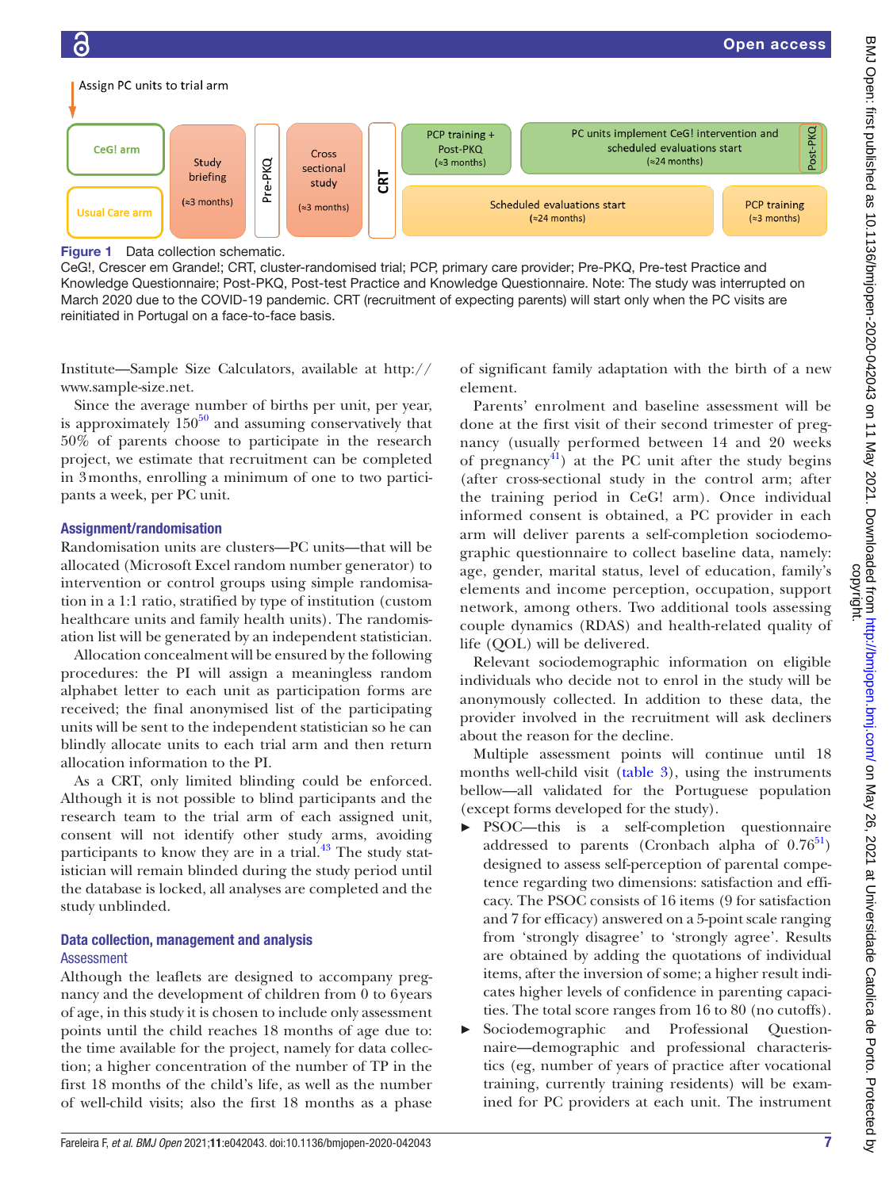

<span id="page-6-0"></span>Figure 1 Data collection schematic.

CeG!, Crescer em Grande!; CRT, cluster-randomised trial; PCP, primary care provider; Pre-PKQ, Pre-test Practice and Knowledge Questionnaire; Post-PKQ, Post-test Practice and Knowledge Questionnaire. Note: The study was interrupted on March 2020 due to the COVID-19 pandemic. CRT (recruitment of expecting parents) will start only when the PC visits are reinitiated in Portugal on a face-to-face basis.

Institute—Sample Size Calculators, available at [http://](http://www.sample-size.net) [www.sample-size.net](http://www.sample-size.net).

Since the average number of births per unit, per year, is approximately  $150^{50}$  and assuming conservatively that 50% of parents choose to participate in the research project, we estimate that recruitment can be completed in 3months, enrolling a minimum of one to two participants a week, per PC unit.

### Assignment/randomisation

Randomisation units are clusters—PC units—that will be allocated (Microsoft Excel random number generator) to intervention or control groups using simple randomisation in a 1:1 ratio, stratified by type of institution (custom healthcare units and family health units). The randomisation list will be generated by an independent statistician.

Allocation concealment will be ensured by the following procedures: the PI will assign a meaningless random alphabet letter to each unit as participation forms are received; the final anonymised list of the participating units will be sent to the independent statistician so he can blindly allocate units to each trial arm and then return allocation information to the PI.

As a CRT, only limited blinding could be enforced. Although it is not possible to blind participants and the research team to the trial arm of each assigned unit, consent will not identify other study arms, avoiding participants to know they are in a trial.<sup>43</sup> The study statistician will remain blinded during the study period until the database is locked, all analyses are completed and the study unblinded.

### Data collection, management and analysis Assessment

Although the leaflets are designed to accompany pregnancy and the development of children from 0 to 6years of age, in this study it is chosen to include only assessment points until the child reaches 18 months of age due to: the time available for the project, namely for data collection; a higher concentration of the number of TP in the first 18 months of the child's life, as well as the number of well-child visits; also the first 18 months as a phase

of significant family adaptation with the birth of a new element.

Open access

Parents' enrolment and baseline assessment will be done at the first visit of their second trimester of pregnancy (usually performed between 14 and 20 weeks of pregnancy<sup>41</sup>) at the PC unit after the study begins (after cross-sectional study in the control arm; after the training period in CeG! arm). Once individual informed consent is obtained, a PC provider in each arm will deliver parents a self-completion sociodemographic questionnaire to collect baseline data, namely: age, gender, marital status, level of education, family's elements and income perception, occupation, support network, among others. Two additional tools assessing couple dynamics (RDAS) and health-related quality of life (QOL) will be delivered.

Relevant sociodemographic information on eligible individuals who decide not to enrol in the study will be anonymously collected. In addition to these data, the provider involved in the recruitment will ask decliners about the reason for the decline.

Multiple assessment points will continue until 18 months well-child visit ([table](#page-5-0) 3), using the instruments bellow—all validated for the Portuguese population (except forms developed for the study).

- PSOC—this is a self-completion questionnaire addressed to parents (Cronbach alpha of  $0.76^{51}$ ) designed to assess self-perception of parental competence regarding two dimensions: satisfaction and efficacy. The PSOC consists of 16 items (9 for satisfaction and 7 for efficacy) answered on a 5-point scale ranging from 'strongly disagree' to 'strongly agree'. Results are obtained by adding the quotations of individual items, after the inversion of some; a higher result indicates higher levels of confidence in parenting capacities. The total score ranges from 16 to 80 (no cutoffs).
- Sociodemographic and Professional Questionnaire—demographic and professional characteristics (eg, number of years of practice after vocational training, currently training residents) will be examined for PC providers at each unit. The instrument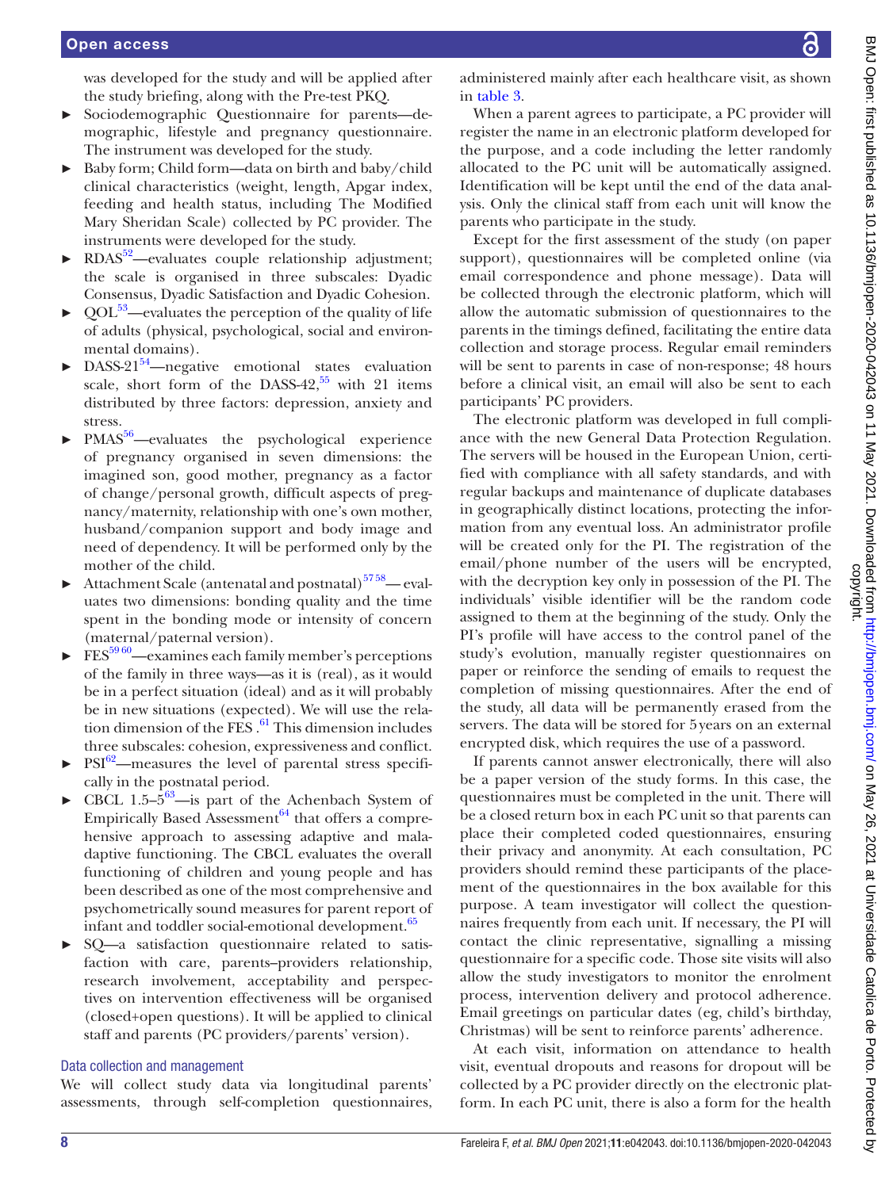was developed for the study and will be applied after the study briefing, along with the Pre-test PKQ.

- ► Sociodemographic Questionnaire for parents—demographic, lifestyle and pregnancy questionnaire. The instrument was developed for the study.
- ► Baby form; Child form—data on birth and baby/child clinical characteristics (weight, length, Apgar index, feeding and health status, including The Modified Mary Sheridan Scale) collected by PC provider. The instruments were developed for the study.
- $RDAS<sup>52</sup>$ —evaluates couple relationship adjustment; the scale is organised in three subscales: Dyadic Consensus, Dyadic Satisfaction and Dyadic Cohesion.
- $QOL<sup>53</sup>$ —evaluates the perception of the quality of life of adults (physical, psychological, social and environmental domains).
- DASS-21 $54$ —negative emotional states evaluation scale, short form of the DASS-42, $55$  with 21 items distributed by three factors: depression, anxiety and stress.
- PMAS<sup>56</sup>—evaluates the psychological experience of pregnancy organised in seven dimensions: the imagined son, good mother, pregnancy as a factor of change/personal growth, difficult aspects of pregnancy/maternity, relationship with one's own mother, husband/companion support and body image and need of dependency. It will be performed only by the mother of the child.
- Attachment Scale (antenatal and postnatal)<sup>5758</sup>— evaluates two dimensions: bonding quality and the time spent in the bonding mode or intensity of concern (maternal/paternal version).
- $FES<sup>5960</sup>$ —examines each family member's perceptions of the family in three ways—as it is (real), as it would be in a perfect situation (ideal) and as it will probably be in new situations (expected). We will use the relation dimension of the FES  $.61$  $.61$  This dimension includes three subscales: cohesion, expressiveness and conflict.
- $PSI^{62}$  $PSI^{62}$  $PSI^{62}$ —measures the level of parental stress specifically in the postnatal period.
- CBCL 1.5– $5^{63}$ —is part of the Achenbach System of Empirically Based Assessment $^{64}$  $^{64}$  $^{64}$  that offers a comprehensive approach to assessing adaptive and maladaptive functioning. The CBCL evaluates the overall functioning of children and young people and has been described as one of the most comprehensive and psychometrically sound measures for parent report of infant and toddler social-emotional development.<sup>[65](#page-10-31)</sup>
- ► SQ—a satisfaction questionnaire related to satisfaction with care, parents–providers relationship, research involvement, acceptability and perspectives on intervention effectiveness will be organised (closed+open questions). It will be applied to clinical staff and parents (PC providers/parents' version).

### Data collection and management

We will collect study data via longitudinal parents' assessments, through self-completion questionnaires,

administered mainly after each healthcare visit, as shown in [table](#page-5-0) 3.

When a parent agrees to participate, a PC provider will register the name in an electronic platform developed for the purpose, and a code including the letter randomly allocated to the PC unit will be automatically assigned. Identification will be kept until the end of the data analysis. Only the clinical staff from each unit will know the parents who participate in the study.

Except for the first assessment of the study (on paper support), questionnaires will be completed online (via email correspondence and phone message). Data will be collected through the electronic platform, which will allow the automatic submission of questionnaires to the parents in the timings defined, facilitating the entire data collection and storage process. Regular email reminders will be sent to parents in case of non-response; 48 hours before a clinical visit, an email will also be sent to each participants' PC providers.

The electronic platform was developed in full compliance with the new General Data Protection Regulation. The servers will be housed in the European Union, certified with compliance with all safety standards, and with regular backups and maintenance of duplicate databases in geographically distinct locations, protecting the information from any eventual loss. An administrator profile will be created only for the PI. The registration of the email/phone number of the users will be encrypted, with the decryption key only in possession of the PI. The individuals' visible identifier will be the random code assigned to them at the beginning of the study. Only the PI's profile will have access to the control panel of the study's evolution, manually register questionnaires on paper or reinforce the sending of emails to request the completion of missing questionnaires. After the end of the study, all data will be permanently erased from the servers. The data will be stored for 5years on an external encrypted disk, which requires the use of a password.

If parents cannot answer electronically, there will also be a paper version of the study forms. In this case, the questionnaires must be completed in the unit. There will be a closed return box in each PC unit so that parents can place their completed coded questionnaires, ensuring their privacy and anonymity. At each consultation, PC providers should remind these participants of the placement of the questionnaires in the box available for this purpose. A team investigator will collect the questionnaires frequently from each unit. If necessary, the PI will contact the clinic representative, signalling a missing questionnaire for a specific code. Those site visits will also allow the study investigators to monitor the enrolment process, intervention delivery and protocol adherence. Email greetings on particular dates (eg, child's birthday, Christmas) will be sent to reinforce parents' adherence.

At each visit, information on attendance to health visit, eventual dropouts and reasons for dropout will be collected by a PC provider directly on the electronic platform. In each PC unit, there is also a form for the health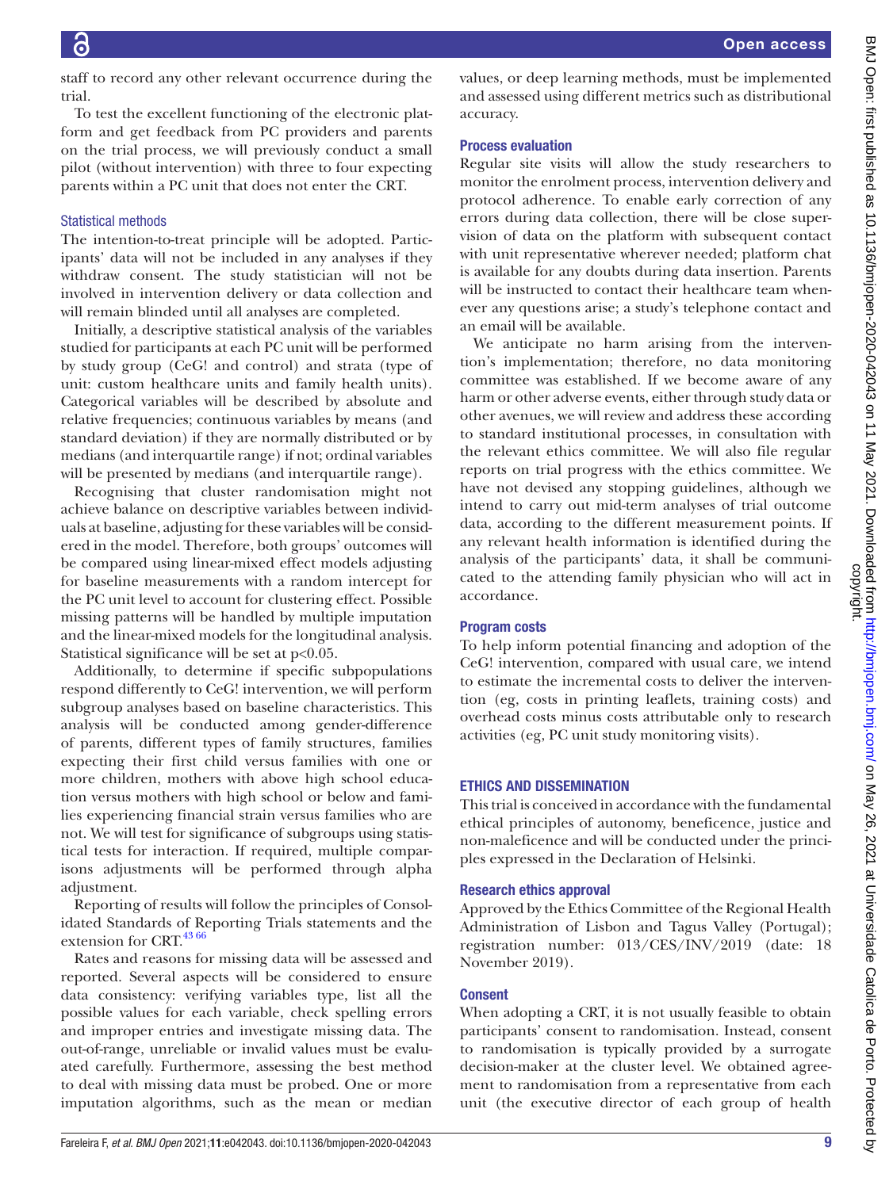staff to record any other relevant occurrence during the trial.

To test the excellent functioning of the electronic platform and get feedback from PC providers and parents on the trial process, we will previously conduct a small pilot (without intervention) with three to four expecting parents within a PC unit that does not enter the CRT.

### Statistical methods

The intention-to-treat principle will be adopted. Participants' data will not be included in any analyses if they withdraw consent. The study statistician will not be involved in intervention delivery or data collection and will remain blinded until all analyses are completed.

Initially, a descriptive statistical analysis of the variables studied for participants at each PC unit will be performed by study group (CeG! and control) and strata (type of unit: custom healthcare units and family health units). Categorical variables will be described by absolute and relative frequencies; continuous variables by means (and standard deviation) if they are normally distributed or by medians (and interquartile range) if not; ordinal variables will be presented by medians (and interquartile range).

Recognising that cluster randomisation might not achieve balance on descriptive variables between individuals at baseline, adjusting for these variables will be considered in the model. Therefore, both groups' outcomes will be compared using linear-mixed effect models adjusting for baseline measurements with a random intercept for the PC unit level to account for clustering effect. Possible missing patterns will be handled by multiple imputation and the linear-mixed models for the longitudinal analysis. Statistical significance will be set at p<0.05.

Additionally, to determine if specific subpopulations respond differently to CeG! intervention, we will perform subgroup analyses based on baseline characteristics. This analysis will be conducted among gender-difference of parents, different types of family structures, families expecting their first child versus families with one or more children, mothers with above high school education versus mothers with high school or below and families experiencing financial strain versus families who are not. We will test for significance of subgroups using statistical tests for interaction. If required, multiple comparisons adjustments will be performed through alpha adjustment.

Reporting of results will follow the principles of Consolidated Standards of Reporting Trials statements and the extension for CRT.<sup>43 66</sup>

Rates and reasons for missing data will be assessed and reported. Several aspects will be considered to ensure data consistency: verifying variables type, list all the possible values for each variable, check spelling errors and improper entries and investigate missing data. The out-of-range, unreliable or invalid values must be evaluated carefully. Furthermore, assessing the best method to deal with missing data must be probed. One or more imputation algorithms, such as the mean or median

values, or deep learning methods, must be implemented and assessed using different metrics such as distributional accuracy.

### Process evaluation

Regular site visits will allow the study researchers to monitor the enrolment process, intervention delivery and protocol adherence. To enable early correction of any errors during data collection, there will be close supervision of data on the platform with subsequent contact with unit representative wherever needed; platform chat is available for any doubts during data insertion. Parents will be instructed to contact their healthcare team whenever any questions arise; a study's telephone contact and an email will be available.

We anticipate no harm arising from the intervention's implementation; therefore, no data monitoring committee was established. If we become aware of any harm or other adverse events, either through study data or other avenues, we will review and address these according to standard institutional processes, in consultation with the relevant ethics committee. We will also file regular reports on trial progress with the ethics committee. We have not devised any stopping guidelines, although we intend to carry out mid-term analyses of trial outcome data, according to the different measurement points. If any relevant health information is identified during the analysis of the participants' data, it shall be communicated to the attending family physician who will act in accordance.

### Program costs

To help inform potential financing and adoption of the CeG! intervention, compared with usual care, we intend to estimate the incremental costs to deliver the intervention (eg, costs in printing leaflets, training costs) and overhead costs minus costs attributable only to research activities (eg, PC unit study monitoring visits).

### ETHICS AND DISSEMINATION

This trial is conceived in accordance with the fundamental ethical principles of autonomy, beneficence, justice and non-maleficence and will be conducted under the principles expressed in the Declaration of Helsinki.

### Research ethics approval

Approved by the Ethics Committee of the Regional Health Administration of Lisbon and Tagus Valley (Portugal); registration number: 013/CES/INV/2019 (date: 18 November 2019).

### Consent

When adopting a CRT, it is not usually feasible to obtain participants' consent to randomisation. Instead, consent to randomisation is typically provided by a surrogate decision-maker at the cluster level. We obtained agreement to randomisation from a representative from each unit (the executive director of each group of health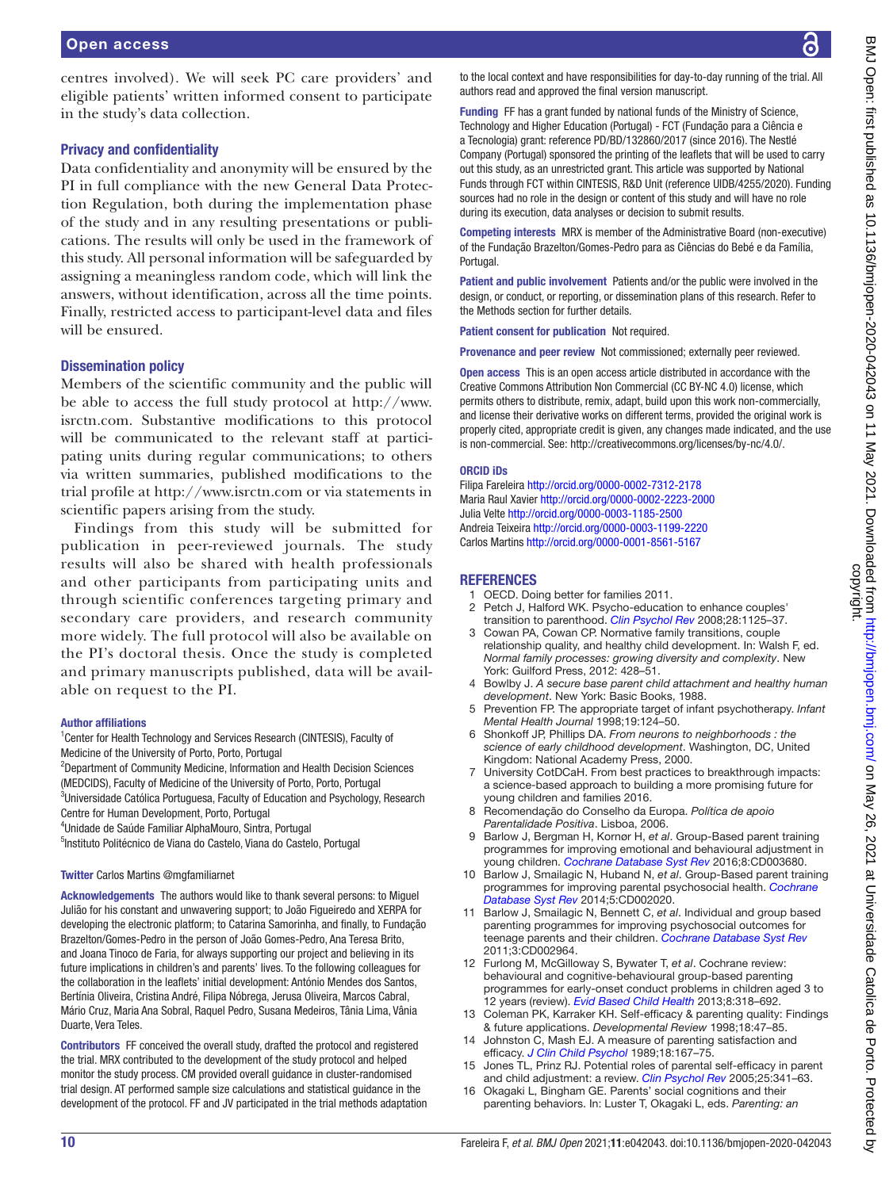centres involved). We will seek PC care providers' and eligible patients' written informed consent to participate in the study's data collection.

### Privacy and confidentiality

Data confidentiality and anonymity will be ensured by the PI in full compliance with the new General Data Protection Regulation, both during the implementation phase of the study and in any resulting presentations or publications. The results will only be used in the framework of this study. All personal information will be safeguarded by assigning a meaningless random code, which will link the answers, without identification, across all the time points. Finally, restricted access to participant-level data and files will be ensured.

### Dissemination policy

Members of the scientific community and the public will be able to access the full study protocol at [http://www.](http://www.isrctn.com) [isrctn.com](http://www.isrctn.com). Substantive modifications to this protocol will be communicated to the relevant staff at participating units during regular communications; to others via written summaries, published modifications to the trial profile at <http://www.isrctn.com>or via statements in scientific papers arising from the study.

Findings from this study will be submitted for publication in peer-reviewed journals. The study results will also be shared with health professionals and other participants from participating units and through scientific conferences targeting primary and secondary care providers, and research community more widely. The full protocol will also be available on the PI's doctoral thesis. Once the study is completed and primary manuscripts published, data will be available on request to the PI.

### Author affiliations

<sup>1</sup> Center for Health Technology and Services Research (CINTESIS), Faculty of Medicine of the University of Porto, Porto, Portugal

<sup>2</sup>Department of Community Medicine, Information and Health Decision Sciences (MEDCIDS), Faculty of Medicine of the University of Porto, Porto, Portugal

<sup>3</sup>Universidade Católica Portuguesa, Faculty of Education and Psychology, Research Centre for Human Development, Porto, Portugal

4 Unidade de Saúde Familiar AlphaMouro, Sintra, Portugal

5 Instituto Politécnico de Viana do Castelo, Viana do Castelo, Portugal

### Twitter Carlos Martins [@mgfamiliarnet](https://twitter.com/mgfamiliarnet)

Acknowledgements The authors would like to thank several persons: to Miguel Julião for his constant and unwavering support; to João Figueiredo and XERPA for developing the electronic platform; to Catarina Samorinha, and finally, to Fundação Brazelton/Gomes-Pedro in the person of João Gomes-Pedro, Ana Teresa Brito, and Joana Tinoco de Faria, for always supporting our project and believing in its future implications in children's and parents' lives. To the following colleagues for the collaboration in the leaflets' initial development: António Mendes dos Santos, Bertínia Oliveira, Cristina André, Filipa Nóbrega, Jerusa Oliveira, Marcos Cabral, Mário Cruz, Maria Ana Sobral, Raquel Pedro, Susana Medeiros, Tânia Lima, Vânia Duarte, Vera Teles.

Contributors FF conceived the overall study, drafted the protocol and registered the trial. MRX contributed to the development of the study protocol and helped monitor the study process. CM provided overall guidance in cluster-randomised trial design. AT performed sample size calculations and statistical guidance in the development of the protocol. FF and JV participated in the trial methods adaptation to the local context and have responsibilities for day-to-day running of the trial. All authors read and approved the final version manuscript.

Funding FF has a grant funded by national funds of the Ministry of Science, Technology and Higher Education (Portugal) - FCT (Fundação para a Ciência e a Tecnologia) grant: reference PD/BD/132860/2017 (since 2016). The Nestlé Company (Portugal) sponsored the printing of the leaflets that will be used to carry out this study, as an unrestricted grant. This article was supported by National Funds through FCT within CINTESIS, R&D Unit (reference UIDB/4255/2020). Funding sources had no role in the design or content of this study and will have no role during its execution, data analyses or decision to submit results.

Competing interests MRX is member of the Administrative Board (non-executive) of the Fundação Brazelton/Gomes-Pedro para as Ciências do Bebé e da Família, Portugal.

Patient and public involvement Patients and/or the public were involved in the design, or conduct, or reporting, or dissemination plans of this research. Refer to the Methods section for further details.

Patient consent for publication Not required.

Provenance and peer review Not commissioned; externally peer reviewed.

Open access This is an open access article distributed in accordance with the Creative Commons Attribution Non Commercial (CC BY-NC 4.0) license, which permits others to distribute, remix, adapt, build upon this work non-commercially, and license their derivative works on different terms, provided the original work is properly cited, appropriate credit is given, any changes made indicated, and the use is non-commercial. See: [http://creativecommons.org/licenses/by-nc/4.0/.](http://creativecommons.org/licenses/by-nc/4.0/)

#### ORCID iDs

Filipa Fareleira <http://orcid.org/0000-0002-7312-2178> Maria Raul Xavier <http://orcid.org/0000-0002-2223-2000> Julia Velte<http://orcid.org/0000-0003-1185-2500> Andreia Teixeira <http://orcid.org/0000-0003-1199-2220> Carlos Martins<http://orcid.org/0000-0001-8561-5167>

### **REFERENCES**

- <span id="page-9-0"></span>1 OECD. Doing better for families 2011.<br>2 Petch J, Halford WK. Psycho-education
- <span id="page-9-1"></span>Petch J, Halford WK. Psycho-education to enhance couples' transition to parenthood. *[Clin Psychol Rev](http://dx.doi.org/10.1016/j.cpr.2008.03.005)* 2008;28:1125–37.
- 3 Cowan PA, Cowan CP. Normative family transitions, couple relationship quality, and healthy child development. In: Walsh F, ed. *Normal family processes: growing diversity and complexity*. New York: Guilford Press, 2012: 428–51.
- <span id="page-9-2"></span>4 Bowlby J. *A secure base parent child attachment and healthy human development*. New York: Basic Books, 1988.
- 5 Prevention FP. The appropriate target of infant psychotherapy. *Infant Mental Health Journal* 1998;19:124–50.
- 6 Shonkoff JP, Phillips DA. *From neurons to neighborhoods : the science of early childhood development*. Washington, DC, United Kingdom: National Academy Press, 2000.
- 7 University CotDCaH. From best practices to breakthrough impacts: a science-based approach to building a more promising future for young children and families 2016.
- 8 Recomendação do Conselho da Europa. *Política de apoio Parentalidade Positiva*. Lisboa, 2006.
- <span id="page-9-3"></span>9 Barlow J, Bergman H, Kornør H, *et al*. Group-Based parent training programmes for improving emotional and behavioural adjustment in young children. *[Cochrane Database Syst Rev](http://dx.doi.org/10.1002/14651858.CD003680.pub3)* 2016;8:CD003680.
- <span id="page-9-6"></span>10 Barlow J, Smailagic N, Huband N, *et al*. Group-Based parent training programmes for improving parental psychosocial health. *[Cochrane](http://dx.doi.org/10.1002/14651858.CD002020.pub4)  [Database Syst Rev](http://dx.doi.org/10.1002/14651858.CD002020.pub4)* 2014;5:CD002020.
- 11 Barlow J, Smailagic N, Bennett C, *et al*. Individual and group based parenting programmes for improving psychosocial outcomes for teenage parents and their children. *[Cochrane Database Syst Rev](http://dx.doi.org/10.1002/14651858.CD002964.pub2)* 2011;3:CD002964.
- 12 Furlong M, McGilloway S, Bywater T, *et al*. Cochrane review: behavioural and cognitive-behavioural group-based parenting programmes for early-onset conduct problems in children aged 3 to 12 years (review). *[Evid Based Child Health](http://dx.doi.org/10.1002/ebch.1905)* 2013;8:318–692.
- <span id="page-9-4"></span>13 Coleman PK, Karraker KH. Self-efficacy & parenting quality: Findings & future applications. *Developmental Review* 1998;18:47–85.
- 14 Johnston C, Mash EJ. A measure of parenting satisfaction and efficacy. *[J Clin Child Psychol](http://dx.doi.org/10.1207/s15374424jccp1802_8)* 1989;18:167–75.
- <span id="page-9-5"></span>15 Jones TL, Prinz RJ. Potential roles of parental self-efficacy in parent and child adjustment: a review. *[Clin Psychol Rev](http://dx.doi.org/10.1016/j.cpr.2004.12.004)* 2005;25:341–63.
- 16 Okagaki L, Bingham GE. Parents' social cognitions and their parenting behaviors. In: Luster T, Okagaki L, eds. *Parenting: an*